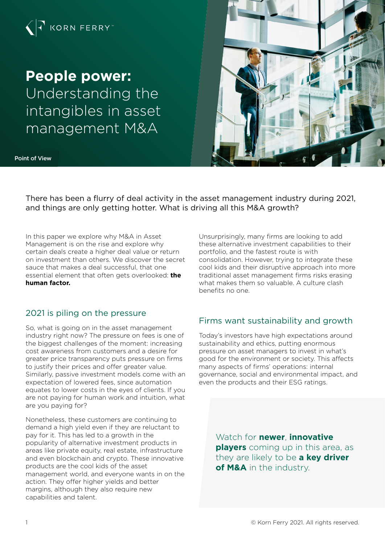

# **People power:**

Understanding the intangibles in asset management M&A





There has been a flurry of deal activity in the asset management industry during 2021, and things are only getting hotter. What is driving all this M&A growth?

In this paper we explore why M&A in Asset Management is on the rise and explore why certain deals create a higher deal value or return on investment than others. We discover the secret sauce that makes a deal successful, that one essential element that often gets overlooked: **the human factor.** 

# 2021 is piling on the pressure

So, what is going on in the asset management industry right now? The pressure on fees is one of the biggest challenges of the moment: increasing cost awareness from customers and a desire for greater price transparency puts pressure on firms to justify their prices and offer greater value. Similarly, passive investment models come with an expectation of lowered fees, since automation equates to lower costs in the eyes of clients. If you are not paying for human work and intuition, what are you paying for?

Nonetheless, these customers are continuing to demand a high yield even if they are reluctant to pay for it. This has led to a growth in the popularity of alternative investment products in areas like private equity, real estate, infrastructure and even blockchain and crypto. These innovative products are the cool kids of the asset management world, and everyone wants in on the action. They offer higher yields and better margins, although they also require new capabilities and talent.

Unsurprisingly, many firms are looking to add these alternative investment capabilities to their portfolio, and the fastest route is with consolidation. However, trying to integrate these cool kids and their disruptive approach into more traditional asset management firms risks erasing what makes them so valuable. A culture clash benefits no one.

# Firms want sustainability and growth

Today's investors have high expectations around sustainability and ethics, putting enormous pressure on asset managers to invest in what's good for the environment or society. This affects many aspects of firms' operations: internal governance, social and environmental impact, and even the products and their ESG ratings.

> Watch for **newer**, **innovative players** coming up in this area, as they are likely to be **a key driver of M&A** in the industry.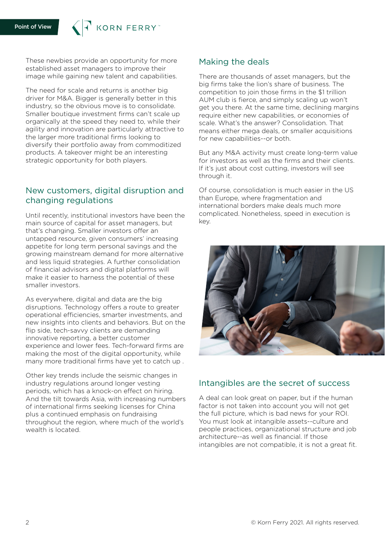KORN FERRY

These newbies provide an opportunity for more established asset managers to improve their image while gaining new talent and capabilities.

The need for scale and returns is another big driver for M&A. Bigger is generally better in this industry, so the obvious move is to consolidate. Smaller boutique investment firms can't scale up organically at the speed they need to, while their agility and innovation are particularly attractive to the larger more traditional firms looking to diversify their portfolio away from commoditized products. A takeover might be an interesting strategic opportunity for both players.

## New customers, digital disruption and changing regulations

Until recently, institutional investors have been the main source of capital for asset managers, but that's changing. Smaller investors offer an untapped resource, given consumers' increasing appetite for long term personal savings and the growing mainstream demand for more alternative and less liquid strategies. A further consolidation of financial advisors and digital platforms will make it easier to harness the potential of these smaller investors.

As everywhere, digital and data are the big disruptions. Technology offers a route to greater operational efficiencies, smarter investments, and new insights into clients and behaviors. But on the flip side, tech-savvy clients are demanding innovative reporting, a better customer experience and lower fees. Tech-forward firms are making the most of the digital opportunity, while many more traditional firms have yet to catch up .

Other key trends include the seismic changes in industry regulations around longer vesting periods, which has a knock-on effect on hiring. And the tilt towards Asia, with increasing numbers of international firms seeking licenses for China plus a continued emphasis on fundraising throughout the region, where much of the world's wealth is located.

#### Making the deals

There are thousands of asset managers, but the big firms take the lion's share of business. The competition to join those firms in the \$1 trillion AUM club is fierce, and simply scaling up won't get you there. At the same time, declining margins require either new capabilities, or economies of scale. What's the answer? Consolidation. That means either mega deals, or smaller acquisitions for new capabilities--or both.

But any M&A activity must create long-term value for investors as well as the firms and their clients. If it's just about cost cutting, investors will see through it.

Of course, consolidation is much easier in the US than Europe, where fragmentation and international borders make deals much more complicated. Nonetheless, speed in execution is key.



#### Intangibles are the secret of success

A deal can look great on paper, but if the human factor is not taken into account you will not get the full picture, which is bad news for your ROI. You must look at intangible assets--culture and people practices, organizational structure and job architecture--as well as financial. If those intangibles are not compatible, it is not a great fit.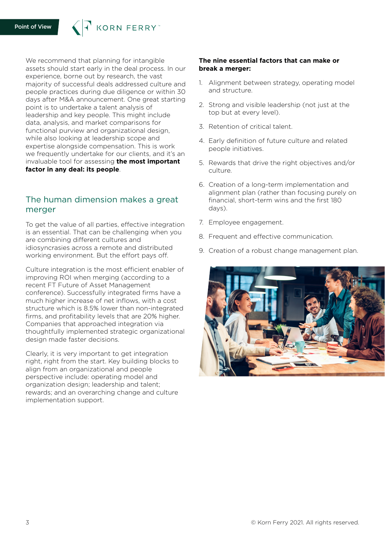We recommend that planning for intangible assets should start early in the deal process. In our experience, borne out by research, the vast majority of successful deals addressed culture and people practices during due diligence or within 30 days after M&A announcement. One great starting point is to undertake a talent analysis of leadership and key people. This might include data, analysis, and market comparisons for functional purview and organizational design, while also looking at leadership scope and expertise alongside compensation. This is work we frequently undertake for our clients, and it's an invaluable tool for assessing **the most important factor in any deal: its people**.

KORN FERRY

# The human dimension makes a great merger

To get the value of all parties, effective integration is an essential. That can be challenging when you are combining different cultures and idiosyncrasies across a remote and distributed working environment. But the effort pays off.

Culture integration is the most efficient enabler of improving ROI when merging (according to a recent FT Future of Asset Management conference). Successfully integrated firms have a much higher increase of net inflows, with a cost structure which is 8.5% lower than non-integrated firms, and profitability levels that are 20% higher. Companies that approached integration via thoughtfully implemented strategic organizational design made faster decisions.

Clearly, it is very important to get integration right, right from the start. Key building blocks to align from an organizational and people perspective include: operating model and organization design; leadership and talent; rewards; and an overarching change and culture implementation support.

#### **The nine essential factors that can make or break a merger:**

- 1. Alignment between strategy, operating model and structure.
- 2. Strong and visible leadership (not just at the top but at every level).
- 3. Retention of critical talent.
- 4. Early definition of future culture and related people initiatives.
- 5. Rewards that drive the right objectives and/or culture.
- 6. Creation of a long-term implementation and alignment plan (rather than focusing purely on financial, short-term wins and the first 180 days).
- 7. Employee engagement.
- 8. Frequent and effective communication.
- 9. Creation of a robust change management plan.

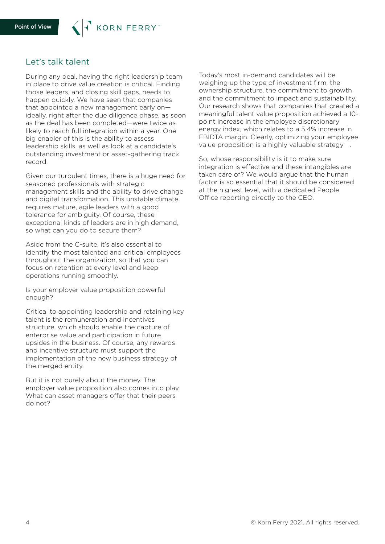## Let's talk talent

During any deal, having the right leadership team in place to drive value creation is critical. Finding those leaders, and closing skill gaps, needs to happen quickly. We have seen that companies that appointed a new management early on ideally, right after the due diligence phase, as soon as the deal has been completed—were twice as likely to reach full integration within a year. One big enabler of this is the ability to assess leadership skills, as well as look at a candidate's outstanding investment or asset-gathering track record.

Given our turbulent times, there is a huge need for seasoned professionals with strategic management skills and the ability to drive change and digital transformation. This unstable climate requires mature, agile leaders with a good tolerance for ambiguity. Of course, these exceptional kinds of leaders are in high demand, so what can you do to secure them?

Aside from the C-suite, it's also essential to identify the most talented and critical employees throughout the organization, so that you can focus on retention at every level and keep operations running smoothly.

Is your employer value proposition powerful enough?

Critical to appointing leadership and retaining key talent is the remuneration and incentives structure, which should enable the capture of enterprise value and participation in future upsides in the business. Of course, any rewards and incentive structure must support the implementation of the new business strategy of the merged entity.

But it is not purely about the money. The employer value proposition also comes into play. What can asset managers offer that their peers do not?

Today's most in-demand candidates will be weighing up the type of investment firm, the ownership structure, the commitment to growth and the commitment to impact and sustainability. Our research shows that companies that created a meaningful talent value proposition achieved a 10 point increase in the employee discretionary energy index, which relates to a 5.4% increase in EBIDTA margin. Clearly, optimizing your employee value proposition is a highly valuable strategy .

So, whose responsibility is it to make sure integration is effective and these intangibles are taken care of? We would argue that the human factor is so essential that it should be considered at the highest level, with a dedicated People Office reporting directly to the CEO.